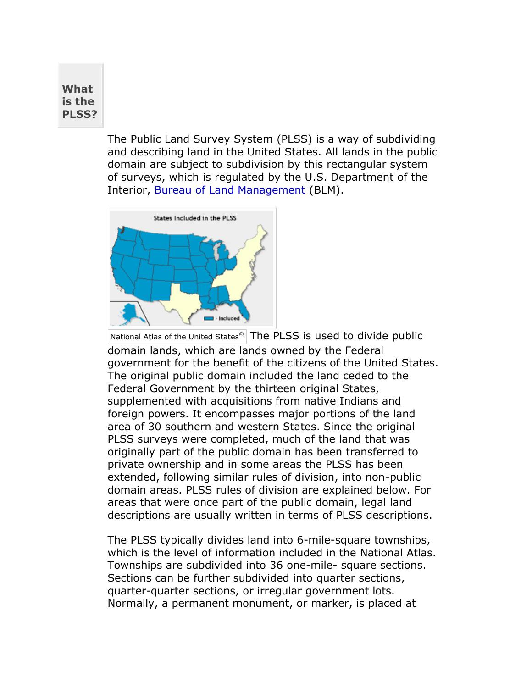## **What is the PLSS?**

The Public Land Survey System (PLSS) is a way of subdividing and describing land in the United States. All lands in the public domain are subject to subdivision by this rectangular system of surveys, which is regulated by the U.S. Department of the Interior, [Bureau of Land Management](http://www.blm.gov/nhp/index.htm) (BLM).



National Atlas of the United States® The PLSS is used to divide public domain lands, which are lands owned by the Federal government for the benefit of the citizens of the United States. The original public domain included the land ceded to the Federal Government by the thirteen original States, supplemented with acquisitions from native Indians and foreign powers. It encompasses major portions of the land area of 30 southern and western States. Since the original PLSS surveys were completed, much of the land that was originally part of the public domain has been transferred to private ownership and in some areas the PLSS has been extended, following similar rules of division, into non-public domain areas. PLSS rules of division are explained below. For areas that were once part of the public domain, legal land descriptions are usually written in terms of PLSS descriptions.

The PLSS typically divides land into 6-mile-square townships, which is the level of information included in the National Atlas. Townships are subdivided into 36 one-mile- square sections. Sections can be further subdivided into quarter sections, quarter-quarter sections, or irregular government lots. Normally, a permanent monument, or marker, is placed at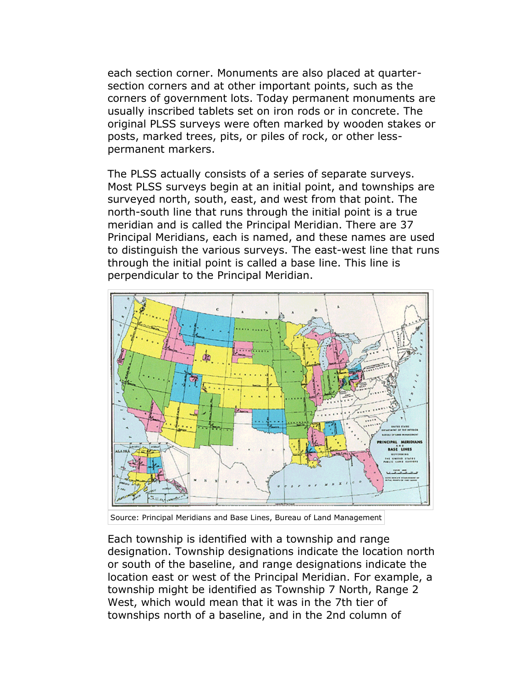each section corner. Monuments are also placed at quartersection corners and at other important points, such as the corners of government lots. Today permanent monuments are usually inscribed tablets set on iron rods or in concrete. The original PLSS surveys were often marked by wooden stakes or posts, marked trees, pits, or piles of rock, or other lesspermanent markers.

The PLSS actually consists of a series of separate surveys. Most PLSS surveys begin at an initial point, and townships are surveyed north, south, east, and west from that point. The north-south line that runs through the initial point is a true meridian and is called the Principal Meridian. There are 37 Principal Meridians, each is named, and these names are used to distinguish the various surveys. The east-west line that runs through the initial point is called a base line. This line is perpendicular to the Principal Meridian.



Source: Principal Meridians and Base Lines, Bureau of Land Management

Each township is identified with a township and range designation. Township designations indicate the location north or south of the baseline, and range designations indicate the location east or west of the Principal Meridian. For example, a township might be identified as Township 7 North, Range 2 West, which would mean that it was in the 7th tier of townships north of a baseline, and in the 2nd column of